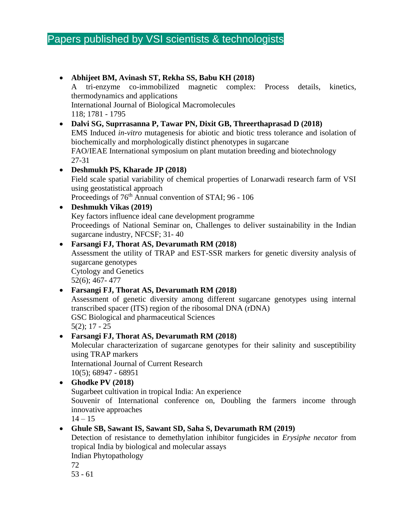# Papers published by VSI scientists & technologists

|           | Abhijeet BM, Avinash ST, Rekha SS, Babu KH (2018)                                                                                      |
|-----------|----------------------------------------------------------------------------------------------------------------------------------------|
|           | co-immobilized<br>magnetic<br>tri-enzyme<br>complex:<br>Process<br>details,<br>kinetics,<br>A                                          |
|           | thermodynamics and applications                                                                                                        |
|           | <b>International Journal of Biological Macromolecules</b>                                                                              |
|           | 118; 1781 - 1795                                                                                                                       |
| $\bullet$ | Dalvi SG, Suprrasanna P, Tawar PN, Dixit GB, Threerthaprasad D (2018)                                                                  |
|           | EMS Induced <i>in-vitro</i> mutagenesis for abiotic and biotic tress tolerance and isolation of                                        |
|           | biochemically and morphologically distinct phenotypes in sugarcane                                                                     |
|           | FAO/IEAE International symposium on plant mutation breeding and biotechnology                                                          |
|           | $27 - 31$                                                                                                                              |
|           | Deshmukh PS, Kharade JP (2018)                                                                                                         |
|           | Field scale spatial variability of chemical properties of Lonarwadi research farm of VSI                                               |
|           | using geostatistical approach                                                                                                          |
|           | Proceedings of 76 <sup>th</sup> Annual convention of STAI; 96 - 106                                                                    |
| $\bullet$ | <b>Deshmukh Vikas (2019)</b>                                                                                                           |
|           | Key factors influence ideal cane development programme                                                                                 |
|           | Proceedings of National Seminar on, Challenges to deliver sustainability in the Indian                                                 |
|           | sugarcane industry, NFCSF; 31-40                                                                                                       |
|           | Farsangi FJ, Thorat AS, Devarumath RM (2018)<br>Assessment the utility of TRAP and EST-SSR markers for genetic diversity analysis of   |
|           | sugarcane genotypes                                                                                                                    |
|           | <b>Cytology and Genetics</b>                                                                                                           |
|           | $52(6)$ ; 467-477                                                                                                                      |
| $\bullet$ | Farsangi FJ, Thorat AS, Devarumath RM (2018)                                                                                           |
|           | Assessment of genetic diversity among different sugarcane genotypes using internal                                                     |
|           | transcribed spacer (ITS) region of the ribosomal DNA (rDNA)                                                                            |
|           | GSC Biological and pharmaceutical Sciences                                                                                             |
|           | $5(2)$ ; 17 - 25                                                                                                                       |
|           | Farsangi FJ, Thorat AS, Devarumath RM (2018)                                                                                           |
|           | Molecular characterization of sugarcane genotypes for their salinity and susceptibility                                                |
|           | using TRAP markers                                                                                                                     |
|           | <b>International Journal of Current Research</b>                                                                                       |
|           | $10(5)$ ; 68947 - 68951                                                                                                                |
|           | Ghodke PV (2018)                                                                                                                       |
|           | Sugarbeet cultivation in tropical India: An experience<br>Souvenir of International conference on, Doubling the farmers income through |
|           | innovative approaches                                                                                                                  |
|           | $14 - 15$                                                                                                                              |
|           | Ghule SB, Sawant IS, Sawant SD, Saha S, Devarumath RM (2019)                                                                           |
|           | Detection of resistance to demethylation inhibitor fungicides in Erysiphe necator from                                                 |
|           | tropical India by biological and molecular assays                                                                                      |

Indian Phytopathology

72

53 - 61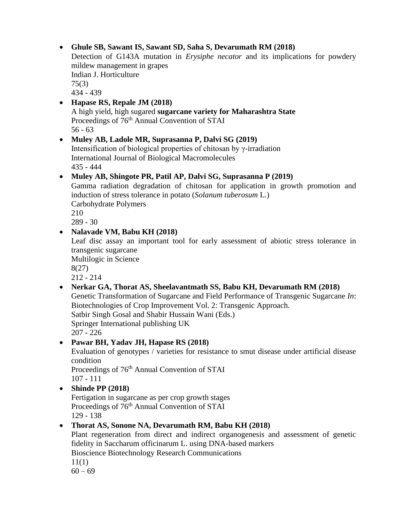### • **Ghule SB, Sawant IS, Sawant SD, Saha S, Devarumath RM (2018)**

Detection of G143A mutation in *Erysiphe necator* and its implications for powdery mildew management in grapes Indian J. Horticulture 75(3) 434 - 439

### • **Hapase RS, Repale JM (2018)**

A high yield, high sugared **sugarcane variety for Maharashtra State** Proceedings of 76<sup>th</sup> Annual Convention of STAI 56 - 63

### • **Muley AB, Ladole MR, Suprasanna P, Dalvi SG (2019)**

Intensification of biological properties of chitosan by γ-irradiation International Journal of Biological Macromolecules 435 - 444

#### • **Muley AB, Shingote PR, Patil AP, Dalvi SG, Suprasanna P (2019)**

Gamma radiation degradation of chitosan for application in growth promotion and induction of stress tolerance in potato (*Solanum tuberosum* L.) Carbohydrate Polymers 210

289 - 30

## • **Nalavade VM, Babu KH (2018)**

Leaf disc assay an important tool for early assessment of abiotic stress tolerance in transgenic sugarcane

Multilogic in Science

8(27)

212 - 214

### • **Nerkar GA, Thorat AS, Sheelavantmath SS, Babu KH, Devarumath RM (2018)**

Genetic Transformation of Sugarcane and Field Performance of Transgenic Sugarcane *In*: Biotechnologies of Crop Improvement Vol. 2: Transgenic Approach. Satbir Singh Gosal and Shabir Hussain Wani (Eds.)

Springer International publishing UK

207 - 226

### • **Pawar BH, Yadav JH, Hapase RS (2018)**

Evaluation of genotypes / varieties for resistance to smut disease under artificial disease condition

Proceedings of 76<sup>th</sup> Annual Convention of STAI 107 - 111

• **Shinde PP (2018)**

Fertigation in sugarcane as per crop growth stages Proceedings of 76<sup>th</sup> Annual Convention of STAI 129 - 138

### • **Thorat AS, Sonone NA, Devarumath RM, Babu KH (2018)**

Plant regeneration from direct and indirect organogenesis and assessment of genetic fidelity in Saccharum officinarum L. using DNA-based markers Bioscience Biotechnology Research Communications

11(1)

 $60 - 69$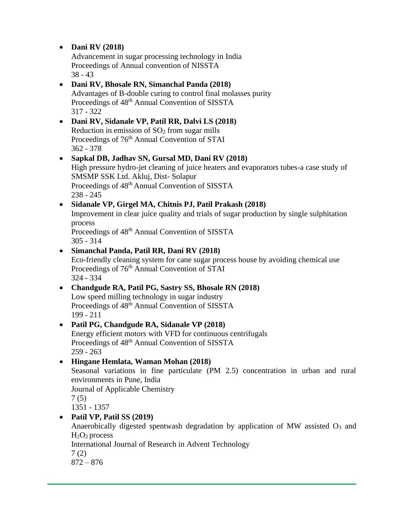### • **Dani RV (2018)**

Advancement in sugar processing technology in India Proceedings of Annual convention of NISSTA 38 - 43

#### • **Dani RV, Bhosale RN, Simanchal Panda (2018)**

Advantages of B-double curing to control final molasses purity Proceedings of 48<sup>th</sup> Annual Convention of SISSTA 317 - 322

- **Dani RV, Sidanale VP, Patil RR, Dalvi LS (2018)** Reduction in emission of  $SO<sub>2</sub>$  from sugar mills Proceedings of 76<sup>th</sup> Annual Convention of STAI 362 - 378
- **Sapkal DB, Jadhav SN, Gursal MD, Dani RV (2018)** High pressure hydro-jet cleaning of juice heaters and evaporators tubes-a case study of SMSMP SSK Ltd. Akluj, Dist- Solapur Proceedings of  $48<sup>th</sup>$  Annual Convention of SISSTA 238 - 245
- **Sidanale VP, Girgel MA, Chitnis PJ, Patil Prakash (2018)** Improvement in clear juice quality and trials of sugar production by single sulphitation process Proceedings of 48<sup>th</sup> Annual Convention of SISSTA

305 - 314

- **Simanchal Panda, Patil RR, Dani RV (2018)** Eco-friendly cleaning system for cane sugar process house by avoiding chemical use Proceedings of 76<sup>th</sup> Annual Convention of STAI 324 - 334
- **Chandgude RA, Patil PG, Sastry SS, Bhosale RN (2018)** Low speed milling technology in sugar industry Proceedings of  $48<sup>th</sup>$  Annual Convention of SISSTA 199 - 211
- **Patil PG, Chandgude RA, Sidanale VP (2018)** Energy efficient motors with VFD for continuous centrifugals Proceedings of 48<sup>th</sup> Annual Convention of SISSTA 259 - 263

# • **Hingane Hemlata, Waman Mohan (2018)**

Seasonal variations in fine particulate (PM 2.5) concentration in urban and rural environments in Pune, India

Journal of Applicable Chemistry

7 (5)

1351 - 1357

# • **Patil VP, Patil SS (2019)**

Anaerobically digested spentwash degradation by application of MW assisted  $O_3$  and  $H<sub>2</sub>O<sub>2</sub>$  process

International Journal of Research in Advent Technology

7 (2)

872 – 876